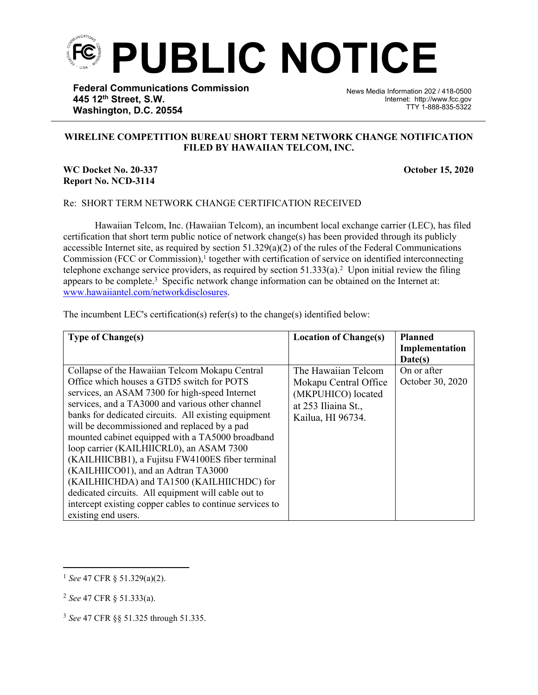

**Federal Communications Commission 445 12th Street, S.W. Washington, D.C. 20554**

News Media Information 202 / 418-0500 Internet: http://www.fcc.gov TTY 1-888-835-5322

## **WIRELINE COMPETITION BUREAU SHORT TERM NETWORK CHANGE NOTIFICATION FILED BY HAWAIIAN TELCOM, INC.**

֡֡֡֡

## **WC Docket No. 20-337 October 15, 2020 Report No. NCD-3114**

## Re: SHORT TERM NETWORK CHANGE CERTIFICATION RECEIVED

Hawaiian Telcom, Inc. (Hawaiian Telcom), an incumbent local exchange carrier (LEC), has filed certification that short term public notice of network change(s) has been provided through its publicly accessible Internet site, as required by section  $51.329(a)(2)$  of the rules of the Federal Communications Commission (FCC or Commission),<sup>1</sup> together with certification of service on identified interconnecting telephone exchange service providers, as required by section  $51.333(a)$ .<sup>2</sup> Upon initial review the filing appears to be complete.<sup>3</sup> Specific network change information can be obtained on the Internet at: [www.hawaiiantel.com/networkdisclosures.](https://www.verizon.com/about/terms-conditions/network-disclosures)

The incumbent LEC's certification(s) refer(s) to the change(s) identified below:

| <b>Type of Change(s)</b>                                 | <b>Location of Change(s)</b> | <b>Planned</b>   |
|----------------------------------------------------------|------------------------------|------------------|
|                                                          |                              | Implementation   |
|                                                          |                              | Date(s)          |
| Collapse of the Hawaiian Telcom Mokapu Central           | The Hawaiian Telcom          | On or after      |
| Office which houses a GTD5 switch for POTS               | Mokapu Central Office        | October 30, 2020 |
| services, an ASAM 7300 for high-speed Internet           | (MKPUHICO) located           |                  |
| services, and a TA3000 and various other channel         | at 253 Iliaina St.,          |                  |
| banks for dedicated circuits. All existing equipment     | Kailua, HI 96734.            |                  |
| will be decommissioned and replaced by a pad             |                              |                  |
| mounted cabinet equipped with a TA5000 broadband         |                              |                  |
| loop carrier (KAILHIICRL0), an ASAM 7300                 |                              |                  |
| (KAILHIICBB1), a Fujitsu FW4100ES fiber terminal         |                              |                  |
| (KAILHIICO01), and an Adtran TA3000                      |                              |                  |
| (KAILHIICHDA) and TA1500 (KAILHIICHDC) for               |                              |                  |
| dedicated circuits. All equipment will cable out to      |                              |                  |
| intercept existing copper cables to continue services to |                              |                  |
| existing end users.                                      |                              |                  |

<sup>1</sup> *See* 47 CFR § 51.329(a)(2).

<sup>2</sup> *See* 47 CFR § 51.333(a).

<sup>3</sup> *See* 47 CFR §§ 51.325 through 51.335.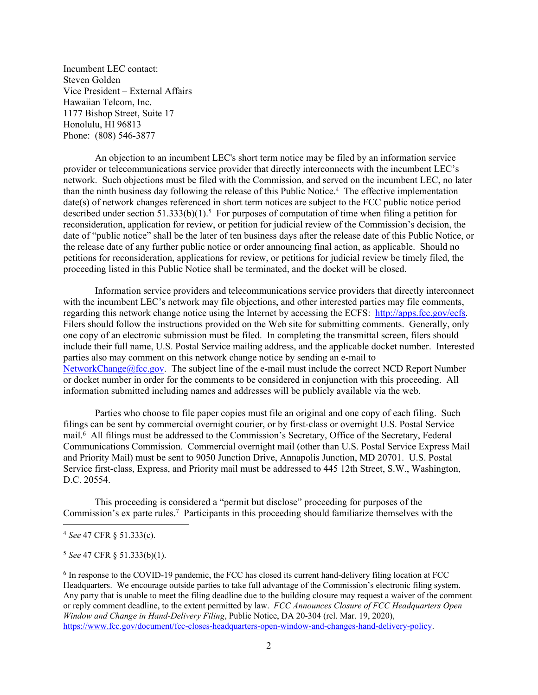Incumbent LEC contact: Steven Golden Vice President – External Affairs Hawaiian Telcom, Inc. 1177 Bishop Street, Suite 17 Honolulu, HI 96813 Phone: (808) 546-3877

An objection to an incumbent LEC's short term notice may be filed by an information service provider or telecommunications service provider that directly interconnects with the incumbent LEC's network. Such objections must be filed with the Commission, and served on the incumbent LEC, no later than the ninth business day following the release of this Public Notice.<sup>4</sup> The effective implementation date(s) of network changes referenced in short term notices are subject to the FCC public notice period described under section  $51.333(b)(1)$ .<sup>5</sup> For purposes of computation of time when filing a petition for reconsideration, application for review, or petition for judicial review of the Commission's decision, the date of "public notice" shall be the later of ten business days after the release date of this Public Notice, or the release date of any further public notice or order announcing final action, as applicable. Should no petitions for reconsideration, applications for review, or petitions for judicial review be timely filed, the proceeding listed in this Public Notice shall be terminated, and the docket will be closed.

Information service providers and telecommunications service providers that directly interconnect with the incumbent LEC's network may file objections, and other interested parties may file comments, regarding this network change notice using the Internet by accessing the ECFS: [http://apps.fcc.gov/ecfs.](http://apps.fcc.gov/ecfs) Filers should follow the instructions provided on the Web site for submitting comments. Generally, only one copy of an electronic submission must be filed. In completing the transmittal screen, filers should include their full name, U.S. Postal Service mailing address, and the applicable docket number. Interested parties also may comment on this network change notice by sending an e-mail to [NetworkChange@fcc.gov.](mailto:NetworkChange@fcc.gov) The subject line of the e-mail must include the correct NCD Report Number or docket number in order for the comments to be considered in conjunction with this proceeding. All information submitted including names and addresses will be publicly available via the web.

Parties who choose to file paper copies must file an original and one copy of each filing. Such filings can be sent by commercial overnight courier, or by first-class or overnight U.S. Postal Service mail.<sup>6</sup> All filings must be addressed to the Commission's Secretary, Office of the Secretary, Federal Communications Commission. Commercial overnight mail (other than U.S. Postal Service Express Mail and Priority Mail) must be sent to 9050 Junction Drive, Annapolis Junction, MD 20701. U.S. Postal Service first-class, Express, and Priority mail must be addressed to 445 12th Street, S.W., Washington, D.C. 20554.

This proceeding is considered a "permit but disclose" proceeding for purposes of the Commission's ex parte rules.<sup>7</sup> Participants in this proceeding should familiarize themselves with the

<sup>4</sup> *See* 47 CFR § 51.333(c).

<sup>5</sup> *See* 47 CFR § 51.333(b)(1).

<sup>&</sup>lt;sup>6</sup> In response to the COVID-19 pandemic, the FCC has closed its current hand-delivery filing location at FCC Headquarters. We encourage outside parties to take full advantage of the Commission's electronic filing system. Any party that is unable to meet the filing deadline due to the building closure may request a waiver of the comment or reply comment deadline, to the extent permitted by law. *FCC Announces Closure of FCC Headquarters Open Window and Change in Hand-Delivery Filing*, Public Notice, DA 20-304 (rel. Mar. 19, 2020), [https://www.fcc.gov/document/fcc-closes-headquarters-open-window-and-changes-hand-delivery-policy.](https://www.fcc.gov/document/fcc-closes-headquarters-open-window-and-changes-hand-delivery-policy)